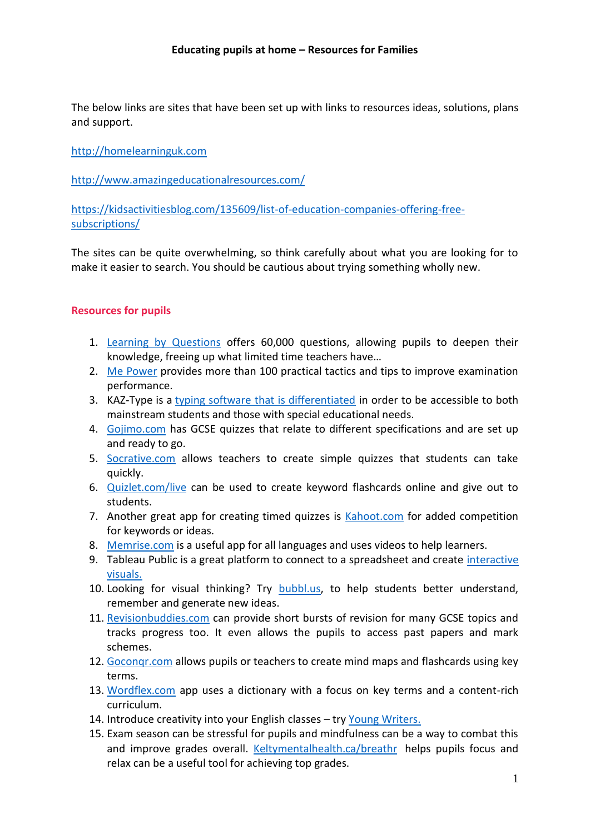#### **Educating pupils at home – Resources for Families**

The below links are sites that have been set up with links to resources ideas, solutions, plans and support.

[http://homelearninguk.com](http://homelearninguk.com/)

<http://www.amazingeducationalresources.com/>

[https://kidsactivitiesblog.com/135609/list-of-education-companies-offering-free](https://kidsactivitiesblog.com/135609/list-of-education-companies-offering-free-subscriptions/)[subscriptions/](https://kidsactivitiesblog.com/135609/list-of-education-companies-offering-free-subscriptions/)

The sites can be quite overwhelming, so think carefully about what you are looking for to make it easier to search. You should be cautious about trying something wholly new.

### **Resources for pupils**

- 1. [Learning by Questions](https://www.teachertoolkit.co.uk/2020/01/22/learning-by-questions/) offers 60,000 questions, allowing pupils to deepen their knowledge, freeing up what limited time teachers have…
- 2. [Me Power](https://www.teachertoolkit.co.uk/2019/06/03/me-power-academy/) provides more than 100 practical tactics and tips to improve examination performance.
- 3. KAZ-Type is a [typing software that is differentiated](https://www.teachertoolkit.co.uk/2020/02/26/touch-typing/) in order to be accessible to both mainstream students and those with special educational needs.
- 4. [Gojimo.com](http://www.gojimo.com/) has GCSE quizzes that relate to different specifications and are set up and ready to go.
- 5. [Socrative.com](http://www.socrative.com/) allows teachers to create simple quizzes that students can take quickly.
- 6. [Quizlet.com/live](http://www.quizlet.com/live) can be used to create keyword flashcards online and give out to students.
- 7. Another great app for creating timed quizzes is [Kahoot.com](http://www.kahoot.com/) for added competition for keywords or ideas.
- 8. [Memrise.com](http://www.memrise.com/) is a useful app for all languages and uses videos to help learners.
- 9. Tableau Public is a great platform to connect to a spreadsheet and create [interactive](https://public.tableau.com/en-us/s/gallery)  [visuals.](https://public.tableau.com/en-us/s/gallery)
- 10. Looking for visual thinking? Try **bubbl.us**, to help students better understand, remember and generate new ideas.
- 11. [Revisionbuddies.com](http://www.revisionbuddies.com/) can provide short bursts of revision for many GCSE topics and tracks progress too. It even allows the pupils to access past papers and mark schemes.
- 12. [Goconqr.com](http://www.goconqr.com/) allows pupils or teachers to create mind maps and flashcards using key terms.
- 13. [Wordflex.com](http://www.wordflex.com/) app uses a dictionary with a focus on key terms and a content-rich curriculum.
- 14. Introduce creativity into your English classes try [Young Writers.](https://www.teachertoolkit.co.uk/2019/06/28/young-writers/)
- 15. Exam season can be stressful for pupils and mindfulness can be a way to combat this and improve grades overall. [Keltymentalhealth.ca/breathr](http://www.keltymentalhealth.ca/breathr) helps pupils focus and relax can be a useful tool for achieving top grades.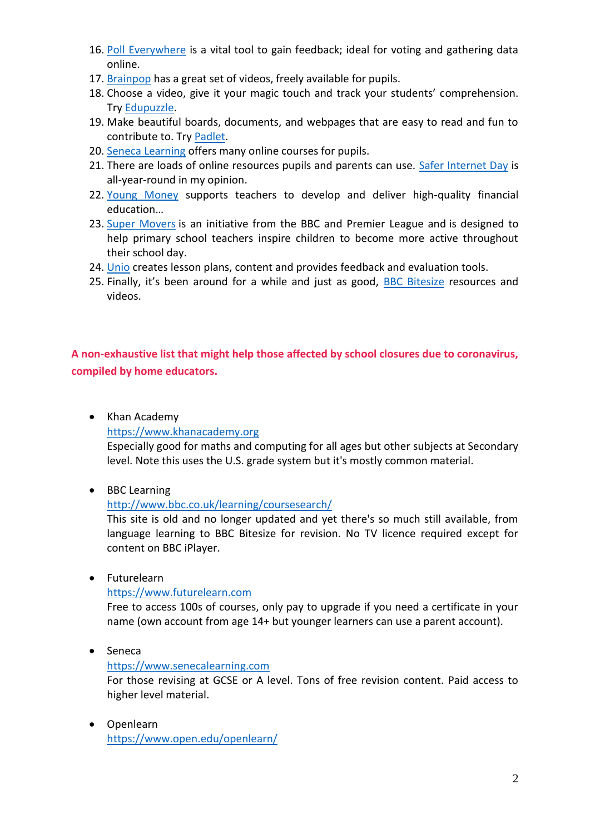- 16. [Poll Everywhere](https://www.polleverywhere.com/) is a vital tool to gain feedback; ideal for voting and gathering data online.
- 17. [Brainpop](https://www.brainpop.com/) has a great set of videos, freely available for pupils.
- 18. Choose a video, give it your magic touch and track your students' comprehension. Try [Edupuzzle.](https://edpuzzle.com/)
- 19. Make beautiful boards, documents, and webpages that are easy to read and fun to contribute to. Try [Padlet.](https://padlet.com/)
- 20. [Seneca Learning](https://app.senecalearning.com/courses?Price=Free) offers many online courses for pupils.
- 21. There are loads of online resources pupils and parents can use. [Safer Internet Day](https://www.saferinternet.org.uk/safer-internet-day/safer-internet-day-2020/i-am-educator) is all-year-round in my opinion.
- 22. [Young Money](https://www.teachertoolkit.co.uk/2018/01/12/young-money/) supports teachers to develop and deliver high-quality financial education…
- 23. [Super Movers](https://www.bbc.co.uk/teach/supermovers) is an initiative from the BBC and Premier League and is designed to help primary school teachers inspire children to become more active throughout their school day.
- 24. [Unio](https://uniobyharness.com/) creates lesson plans, content and provides feedback and evaluation tools.
- 25. Finally, it's been around for a while and just as good, [BBC Bitesize](https://www.bbc.co.uk/bitesize) resources and videos.

# **A non-exhaustive list that might help those affected by school closures due to coronavirus, compiled by home educators.**

• Khan Academy

[https://www.khanacademy.org](https://www.khanacademy.org/)

Especially good for maths and computing for all ages but other subjects at Secondary level. Note this uses the U.S. grade system but it's mostly common material.

• BBC Learning

#### <http://www.bbc.co.uk/learning/coursesearch/>

This site is old and no longer updated and yet there's so much still available, from language learning to BBC Bitesize for revision. No TV licence required except for content on BBC iPlayer.

Futurelearn

[https://www.futurelearn.com](https://www.futurelearn.com/)

Free to access 100s of courses, only pay to upgrade if you need a certificate in your name (own account from age 14+ but younger learners can use a parent account).

• Seneca

#### [https://www.senecalearning.com](https://www.senecalearning.com/)

For those revising at GCSE or A level. Tons of free revision content. Paid access to higher level material.

 Openlearn <https://www.open.edu/openlearn/>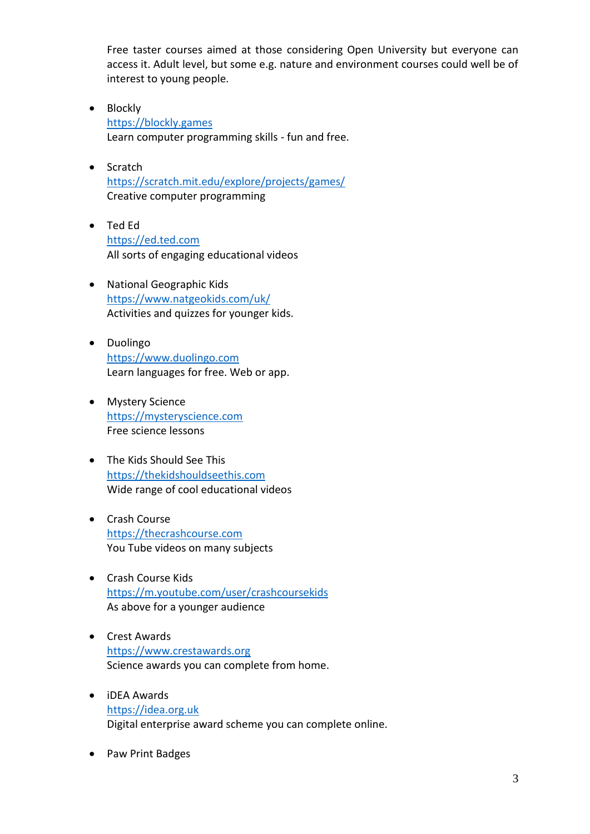Free taster courses aimed at those considering Open University but everyone can access it. Adult level, but some e.g. nature and environment courses could well be of interest to young people.

- Blockly [https://blockly.games](https://blockly.games/) Learn computer programming skills - fun and free.
- Scratch <https://scratch.mit.edu/explore/projects/games/> Creative computer programming
- Ted Ed [https://ed.ted.com](https://ed.ted.com/) All sorts of engaging educational videos
- National Geographic Kids <https://www.natgeokids.com/uk/> Activities and quizzes for younger kids.
- Duolingo [https://www.duolingo.com](https://www.duolingo.com/) Learn languages for free. Web or app.
- Mystery Science [https://mysteryscience.com](https://mysteryscience.com/) Free science lessons
- The Kids Should See This [https://thekidshouldseethis.com](https://thekidshouldseethis.com/) Wide range of cool educational videos
- Crash Course [https://thecrashcourse.com](https://thecrashcourse.com/) You Tube videos on many subjects
- Crash Course Kids <https://m.youtube.com/user/crashcoursekids> As above for a younger audience
- Crest Awards [https://www.crestawards.org](https://www.crestawards.org/) Science awards you can complete from home.
- iDEA Awards [https://idea.org.uk](https://idea.org.uk/) Digital enterprise award scheme you can complete online.
- Paw Print Badges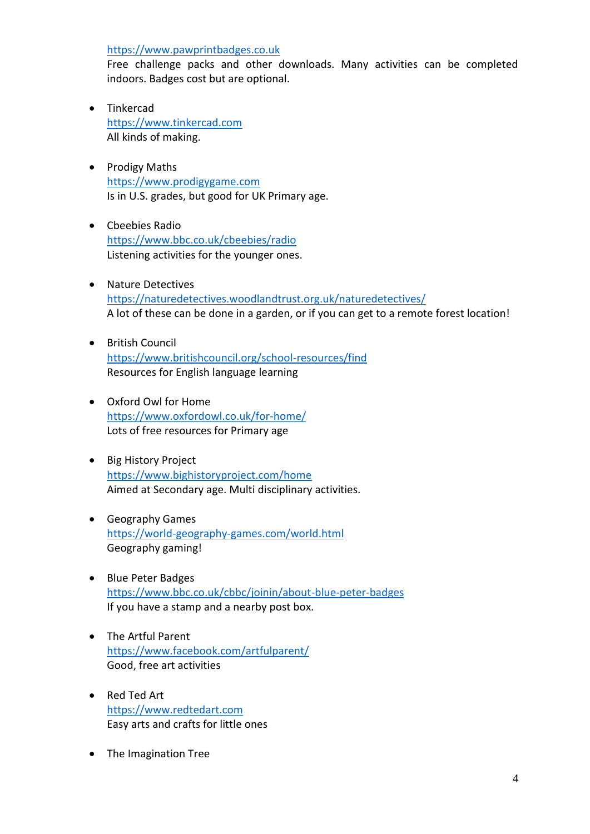[https://www.pawprintbadges.co.uk](https://www.pawprintbadges.co.uk/)

Free challenge packs and other downloads. Many activities can be completed indoors. Badges cost but are optional.

- Tinkercad [https://www.tinkercad.com](https://www.tinkercad.com/) All kinds of making.
- Prodigy Maths [https://www.prodigygame.com](https://www.prodigygame.com/) Is in U.S. grades, but good for UK Primary age.
- Cbeebies Radio <https://www.bbc.co.uk/cbeebies/radio> Listening activities for the younger ones.
- Nature Detectives <https://naturedetectives.woodlandtrust.org.uk/naturedetectives/> A lot of these can be done in a garden, or if you can get to a remote forest location!
- **•** British Council <https://www.britishcouncil.org/school-resources/find> Resources for English language learning
- Oxford Owl for Home <https://www.oxfordowl.co.uk/for-home/> Lots of free resources for Primary age
- Big History Project <https://www.bighistoryproject.com/home> Aimed at Secondary age. Multi disciplinary activities.
- Geography Games <https://world-geography-games.com/world.html> Geography gaming!
- Blue Peter Badges <https://www.bbc.co.uk/cbbc/joinin/about-blue-peter-badges> If you have a stamp and a nearby post box.
- The Artful Parent <https://www.facebook.com/artfulparent/> Good, free art activities
- Red Ted Art [https://www.redtedart.com](https://www.redtedart.com/) Easy arts and crafts for little ones
- The Imagination Tree